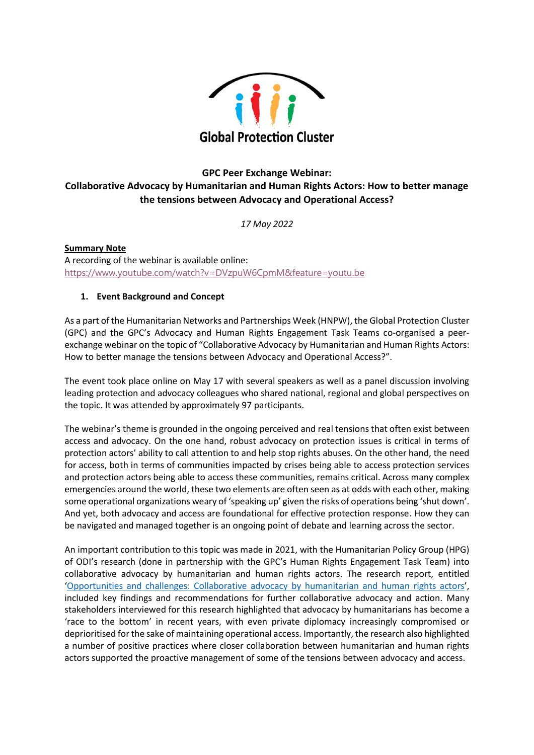

# **GPC Peer Exchange Webinar: Collaborative Advocacy by Humanitarian and Human Rights Actors: How to better manage the tensions between Advocacy and Operational Access?**

*17 May 2022*

**Summary Note** A recording of the webinar is available online: <https://www.youtube.com/watch?v=DVzpuW6CpmM&feature=youtu.be>

# **1. Event Background and Concept**

As a part of the Humanitarian Networks and Partnerships Week (HNPW), the Global Protection Cluster (GPC) and the GPC's Advocacy and Human Rights Engagement Task Teams co-organised a peerexchange webinar on the topic of "Collaborative Advocacy by Humanitarian and Human Rights Actors: How to better manage the tensions between Advocacy and Operational Access?".

The event took place online on May 17 with several speakers as well as a panel discussion involving leading protection and advocacy colleagues who shared national, regional and global perspectives on the topic. It was attended by approximately 97 participants.

The webinar's theme is grounded in the ongoing perceived and real tensions that often exist between access and advocacy. On the one hand, robust advocacy on protection issues is critical in terms of protection actors' ability to call attention to and help stop rights abuses. On the other hand, the need for access, both in terms of communities impacted by crises being able to access protection services and protection actors being able to access these communities, remains critical. Across many complex emergencies around the world, these two elements are often seen as at odds with each other, making some operational organizations weary of 'speaking up' given the risks of operations being 'shut down'. And yet, both advocacy and access are foundational for effective protection response. How they can be navigated and managed together is an ongoing point of debate and learning across the sector.

An important contribution to this topic was made in 2021, with the Humanitarian Policy Group (HPG) of ODI's research (done in partnership with the GPC's Human Rights Engagement Task Team) into collaborative advocacy by humanitarian and human rights actors. The research report, entitled '[Opportunities and challenges: Collaborative advocacy by humanitarian and human rights actors](https://cdn.odi.org/media/documents/Advocacy_IP_Collaborative_advocacy_web.pdf)', included key findings and recommendations for further collaborative advocacy and action. Many stakeholders interviewed for this research highlighted that advocacy by humanitarians has become a 'race to the bottom' in recent years, with even private diplomacy increasingly compromised or deprioritised for the sake of maintaining operational access. Importantly, the research also highlighted a number of positive practices where closer collaboration between humanitarian and human rights actors supported the proactive management of some of the tensions between advocacy and access.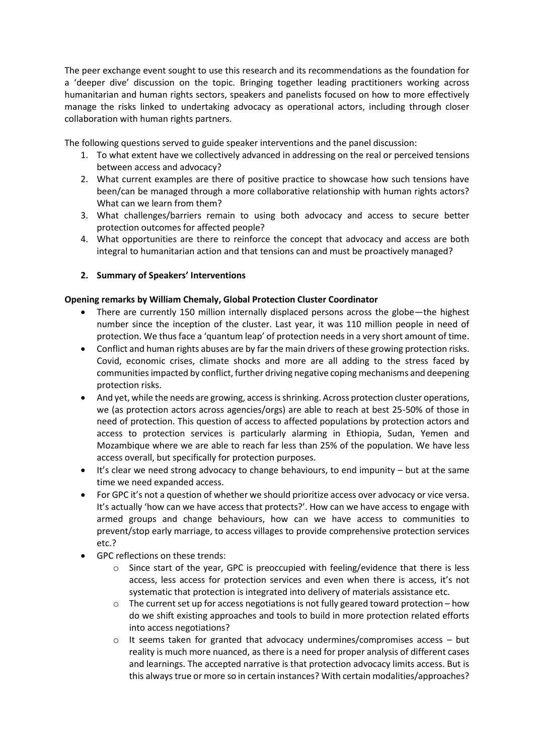The peer exchange event sought to use this research and its recommendations as the foundation for a 'deeper dive' discussion on the topic. Bringing together leading practitioners working across humanitarian and human rights sectors, speakers and panelists focused on how to more effectively manage the risks linked to undertaking advocacy as operational actors, including through closer collaboration with human rights partners.

The following questions served to guide speaker interventions and the panel discussion:

- 1. To what extent have we collectively advanced in addressing on the real or perceived tensions between access and advocacy?
- 2. What current examples are there of positive practice to showcase how such tensions have been/can be managed through a more collaborative relationship with human rights actors? What can we learn from them?
- 3. What challenges/barriers remain to using both advocacy and access to secure better protection outcomes for affected people?
- 4. What opportunities are there to reinforce the concept that advocacy and access are both integral to humanitarian action and that tensions can and must be proactively managed?

# **2. Summary of Speakers' Interventions**

#### **Opening remarks by William Chemaly, Global Protection Cluster Coordinator**

- There are currently 150 million internally displaced persons across the globe—the highest number since the inception of the cluster. Last year, it was 110 million people in need of protection. We thus face a 'quantum leap' of protection needs in a very short amount of time.
- Conflict and human rights abuses are by far the main drivers of these growing protection risks. Covid, economic crises, climate shocks and more are all adding to the stress faced by communities impacted by conflict, further driving negative coping mechanisms and deepening protection risks.
- And yet, while the needs are growing, access is shrinking. Across protection cluster operations, we (as protection actors across agencies/orgs) are able to reach at best 25-50% of those in need of protection. This question of access to affected populations by protection actors and access to protection services is particularly alarming in Ethiopia, Sudan, Yemen and Mozambique where we are able to reach far less than 25% of the population. We have less access overall, but specifically for protection purposes.
- It's clear we need strong advocacy to change behaviours, to end impunity but at the same time we need expanded access.
- For GPC it's not a question of whether we should prioritize access over advocacy or vice versa. It's actually 'how can we have access that protects?'. How can we have access to engage with armed groups and change behaviours, how can we have access to communities to prevent/stop early marriage, to access villages to provide comprehensive protection services etc.?
- GPC reflections on these trends:
	- o Since start of the year, GPC is preoccupied with feeling/evidence that there is less access, less access for protection services and even when there is access, it's not systematic that protection is integrated into delivery of materials assistance etc.
	- $\circ$  The current set up for access negotiations is not fully geared toward protection how do we shift existing approaches and tools to build in more protection related efforts into access negotiations?
	- $\circ$  It seems taken for granted that advocacy undermines/compromises access but reality is much more nuanced, as there is a need for proper analysis of different cases and learnings. The accepted narrative is that protection advocacy limits access. But is this always true or more so in certain instances? With certain modalities/approaches?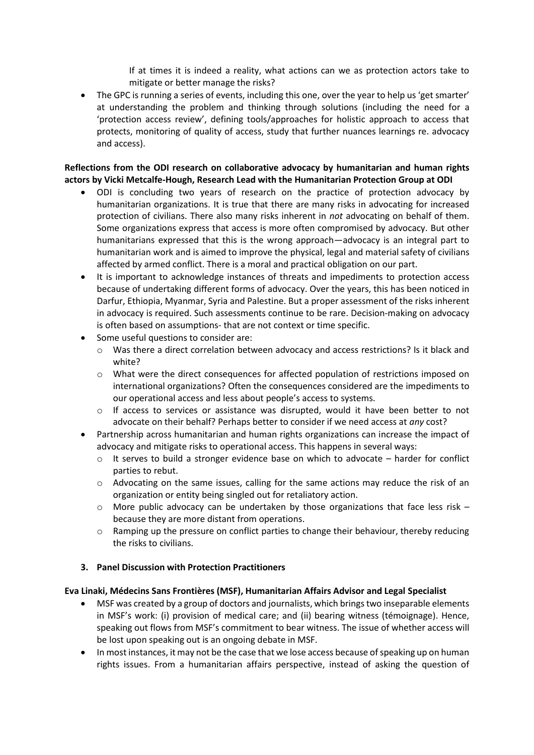If at times it is indeed a reality, what actions can we as protection actors take to mitigate or better manage the risks?

• The GPC is running a series of events, including this one, over the year to help us 'get smarter' at understanding the problem and thinking through solutions (including the need for a 'protection access review', defining tools/approaches for holistic approach to access that protects, monitoring of quality of access, study that further nuances learnings re. advocacy and access).

### **Reflections from the ODI research on collaborative advocacy by humanitarian and human rights actors by Vicki Metcalfe-Hough, Research Lead with the Humanitarian Protection Group at ODI**

- ODI is concluding two years of research on the practice of protection advocacy by humanitarian organizations. It is true that there are many risks in advocating for increased protection of civilians. There also many risks inherent in *not* advocating on behalf of them. Some organizations express that access is more often compromised by advocacy. But other humanitarians expressed that this is the wrong approach—advocacy is an integral part to humanitarian work and is aimed to improve the physical, legal and material safety of civilians affected by armed conflict. There is a moral and practical obligation on our part.
- It is important to acknowledge instances of threats and impediments to protection access because of undertaking different forms of advocacy. Over the years, this has been noticed in Darfur, Ethiopia, Myanmar, Syria and Palestine. But a proper assessment of the risks inherent in advocacy is required. Such assessments continue to be rare. Decision-making on advocacy is often based on assumptions- that are not context or time specific.
- Some useful questions to consider are:
	- o Was there a direct correlation between advocacy and access restrictions? Is it black and white?
	- o What were the direct consequences for affected population of restrictions imposed on international organizations? Often the consequences considered are the impediments to our operational access and less about people's access to systems.
	- o If access to services or assistance was disrupted, would it have been better to not advocate on their behalf? Perhaps better to consider if we need access at *any* cost?
- Partnership across humanitarian and human rights organizations can increase the impact of advocacy and mitigate risks to operational access. This happens in several ways:
	- $\circ$  It serves to build a stronger evidence base on which to advocate harder for conflict parties to rebut.
	- $\circ$  Advocating on the same issues, calling for the same actions may reduce the risk of an organization or entity being singled out for retaliatory action.
	- $\circ$  More public advocacy can be undertaken by those organizations that face less risk because they are more distant from operations.
	- o Ramping up the pressure on conflict parties to change their behaviour, thereby reducing the risks to civilians.

# **3. Panel Discussion with Protection Practitioners**

# **Eva Linaki, Médecins Sans Frontières (MSF), Humanitarian Affairs Advisor and Legal Specialist**

- MSF was created by a group of doctors and journalists, which brings two inseparable elements in MSF's work: (i) provision of medical care; and (ii) bearing witness (témoignage). Hence, speaking out flows from MSF's commitment to bear witness. The issue of whether access will be lost upon speaking out is an ongoing debate in MSF.
- In most instances, it may not be the case that we lose access because of speaking up on human rights issues. From a humanitarian affairs perspective, instead of asking the question of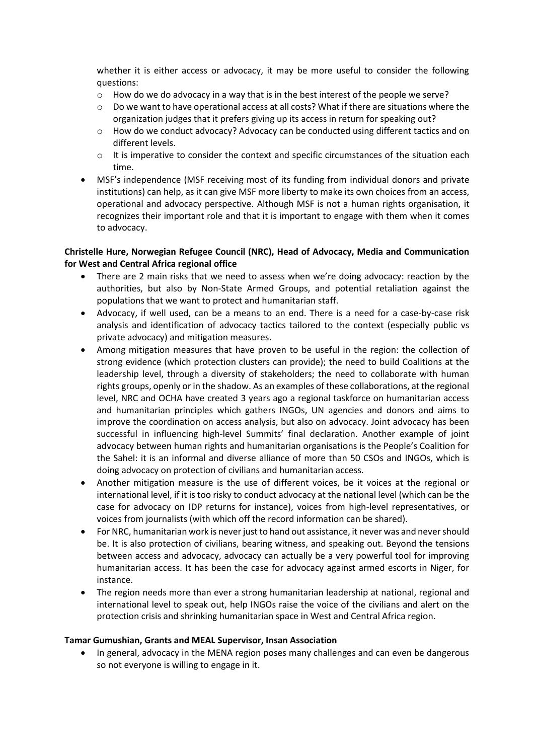whether it is either access or advocacy, it may be more useful to consider the following questions:

- $\circ$  How do we do advocacy in a way that is in the best interest of the people we serve?
- $\circ$  Do we want to have operational access at all costs? What if there are situations where the organization judges that it prefers giving up its access in return for speaking out?
- $\circ$  How do we conduct advocacy? Advocacy can be conducted using different tactics and on different levels.
- $\circ$  It is imperative to consider the context and specific circumstances of the situation each time.
- MSF's independence (MSF receiving most of its funding from individual donors and private institutions) can help, as it can give MSF more liberty to make its own choices from an access, operational and advocacy perspective. Although MSF is not a human rights organisation, it recognizes their important role and that it is important to engage with them when it comes to advocacy.

### **Christelle Hure, Norwegian Refugee Council (NRC), Head of Advocacy, Media and Communication for West and Central Africa regional office**

- There are 2 main risks that we need to assess when we're doing advocacy: reaction by the authorities, but also by Non-State Armed Groups, and potential retaliation against the populations that we want to protect and humanitarian staff.
- Advocacy, if well used, can be a means to an end. There is a need for a case-by-case risk analysis and identification of advocacy tactics tailored to the context (especially public vs private advocacy) and mitigation measures.
- Among mitigation measures that have proven to be useful in the region: the collection of strong evidence (which protection clusters can provide); the need to build Coalitions at the leadership level, through a diversity of stakeholders; the need to collaborate with human rights groups, openly or in the shadow. As an examples of these collaborations, at the regional level, NRC and OCHA have created 3 years ago a regional taskforce on humanitarian access and humanitarian principles which gathers INGOs, UN agencies and donors and aims to improve the coordination on access analysis, but also on advocacy. Joint advocacy has been successful in influencing high-level Summits' final declaration. Another example of joint advocacy between human rights and humanitarian organisations is the People's Coalition for the Sahel: it is an informal and diverse alliance of more than 50 CSOs and INGOs, which is doing advocacy on protection of civilians and humanitarian access.
- Another mitigation measure is the use of different voices, be it voices at the regional or international level, if it is too risky to conduct advocacy at the national level (which can be the case for advocacy on IDP returns for instance), voices from high-level representatives, or voices from journalists (with which off the record information can be shared).
- For NRC, humanitarian work is never just to hand out assistance, it never was and never should be. It is also protection of civilians, bearing witness, and speaking out. Beyond the tensions between access and advocacy, advocacy can actually be a very powerful tool for improving humanitarian access. It has been the case for advocacy against armed escorts in Niger, for instance.
- The region needs more than ever a strong humanitarian leadership at national, regional and international level to speak out, help INGOs raise the voice of the civilians and alert on the protection crisis and shrinking humanitarian space in West and Central Africa region.

#### **Tamar Gumushian, Grants and MEAL Supervisor, Insan Association**

• In general, advocacy in the MENA region poses many challenges and can even be dangerous so not everyone is willing to engage in it.